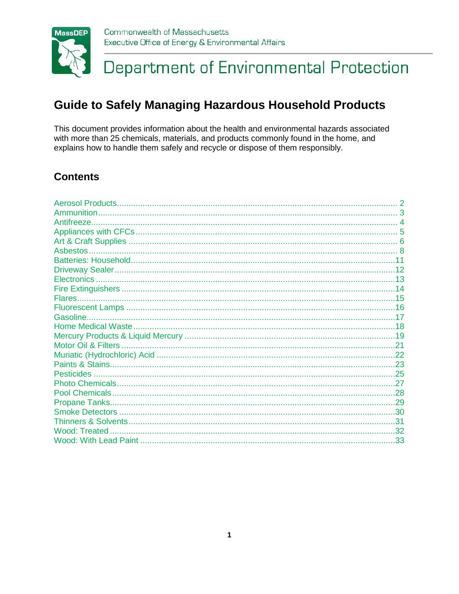

### Department of Environmental Protection

### <span id="page-0-0"></span>**Guide to Safely Managing Hazardous Household Products**

This document provides information about the health and environmental hazards associated with more than 25 chemicals, materials, and products commonly found in the home, and explains how to handle them safely and recycle or dispose of them responsibly.

### **Contents**

<span id="page-0-1"></span>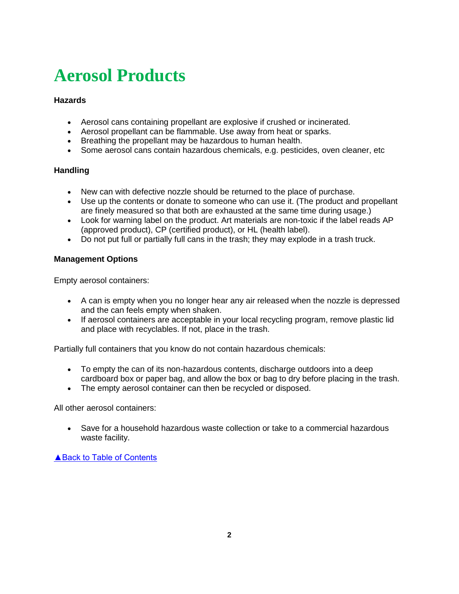# <span id="page-1-0"></span>**Aerosol Products**

### **Hazards**

- Aerosol cans containing propellant are explosive if crushed or incinerated.
- Aerosol propellant can be flammable. Use away from heat or sparks.
- Breathing the propellant may be hazardous to human health.
- Some aerosol cans contain hazardous chemicals, e.g. pesticides, oven cleaner, etc

### **Handling**

- New can with defective nozzle should be returned to the place of purchase.
- Use up the contents or donate to someone who can use it. (The product and propellant are finely measured so that both are exhausted at the same time during usage.)
- Look for warning label on the product. Art materials are non-toxic if the label reads AP (approved product), CP (certified product), or HL (health label).
- Do not put full or partially full cans in the trash; they may explode in a trash truck.

### **Management Options**

Empty aerosol containers:

- A can is empty when you no longer hear any air released when the nozzle is depressed and the can feels empty when shaken.
- If aerosol containers are acceptable in your local recycling program, remove plastic lid and place with recyclables. If not, place in the trash.

Partially full containers that you know do not contain hazardous chemicals:

- To empty the can of its non-hazardous contents, discharge outdoors into a deep cardboard box or paper bag, and allow the box or bag to dry before placing in the trash.
- The empty aerosol container can then be recycled or disposed.

All other aerosol containers:

 Save for a household hazardous waste collection or take to a commercial hazardous waste facility.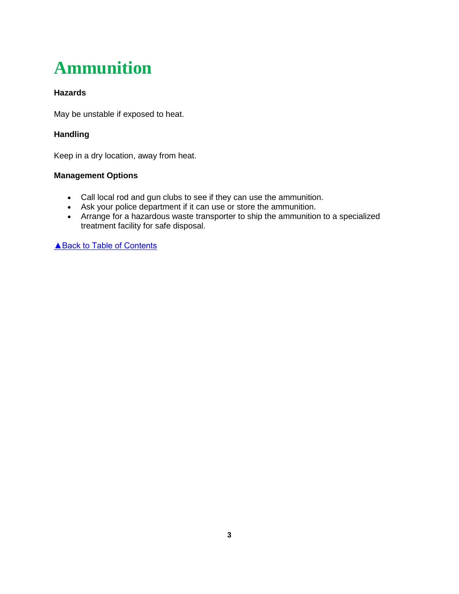# <span id="page-2-0"></span>**Ammunition**

### **Hazards**

May be unstable if exposed to heat.

### **Handling**

Keep in a dry location, away from heat.

### **Management Options**

- Call local rod and gun clubs to see if they can use the ammunition.
- Ask your police department if it can use or store the ammunition.
- Arrange for a hazardous waste transporter to ship the ammunition to a specialized treatment facility for safe disposal.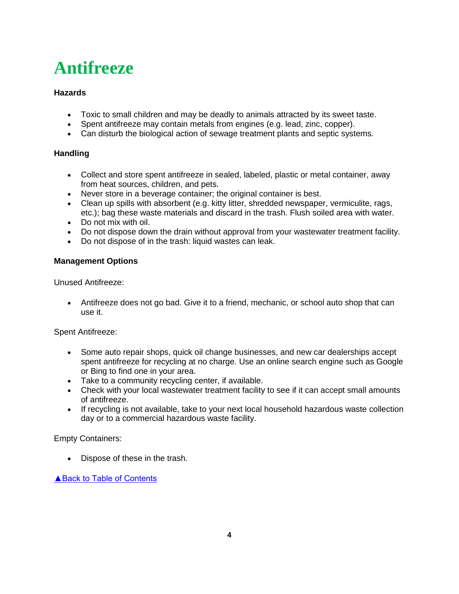## <span id="page-3-0"></span>**Antifreeze**

### **Hazards**

- Toxic to small children and may be deadly to animals attracted by its sweet taste.
- Spent antifreeze may contain metals from engines (e.g. lead, zinc, copper).
- Can disturb the biological action of sewage treatment plants and septic systems.

### **Handling**

- Collect and store spent antifreeze in sealed, labeled, plastic or metal container, away from heat sources, children, and pets.
- Never store in a beverage container; the original container is best.
- Clean up spills with absorbent (e.g. kitty litter, shredded newspaper, vermiculite, rags, etc.); bag these waste materials and discard in the trash. Flush soiled area with water.
- Do not mix with oil.
- Do not dispose down the drain without approval from your wastewater treatment facility.
- Do not dispose of in the trash: liquid wastes can leak.

### **Management Options**

Unused Antifreeze:

 Antifreeze does not go bad. Give it to a friend, mechanic, or school auto shop that can use it.

Spent Antifreeze:

- Some auto repair shops, quick oil change businesses, and new car dealerships accept spent antifreeze for recycling at no charge. Use an online search engine such as Google or Bing to find one in your area.
- Take to a community recycling center, if available.
- Check with your local wastewater treatment facility to see if it can accept small amounts of antifreeze.
- If recycling is not available, take to your next local household hazardous waste collection day or to a commercial hazardous waste facility.

Empty Containers:

• Dispose of these in the trash.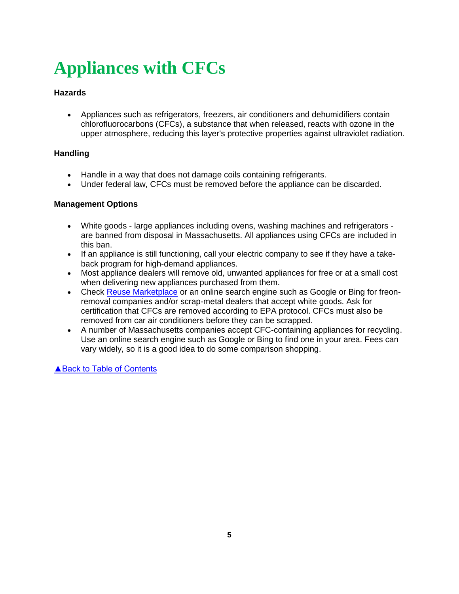# <span id="page-4-0"></span>**Appliances with CFCs**

### **Hazards**

 Appliances such as refrigerators, freezers, air conditioners and dehumidifiers contain chlorofluorocarbons (CFCs), a substance that when released, reacts with ozone in the upper atmosphere, reducing this layer's protective properties against ultraviolet radiation.

### **Handling**

- Handle in a way that does not damage coils containing refrigerants.
- Under federal law, CFCs must be removed before the appliance can be discarded.

### **Management Options**

- White goods large appliances including ovens, washing machines and refrigerators are banned from disposal in Massachusetts. All appliances using CFCs are included in this ban.
- If an appliance is still functioning, call your electric company to see if they have a takeback program for high-demand appliances.
- Most appliance dealers will remove old, unwanted appliances for free or at a small cost when delivering new appliances purchased from them.
- Check [Reuse Marketplace](http://www.reusemarketplace.org/) or an online search engine such as Google or Bing for freonremoval companies and/or scrap-metal dealers that accept white goods. Ask for certification that CFCs are removed according to EPA protocol. CFCs must also be removed from car air conditioners before they can be scrapped.
- A number of Massachusetts companies accept CFC-containing appliances for recycling. Use an online search engine such as Google or Bing to find one in your area. Fees can vary widely, so it is a good idea to do some comparison shopping.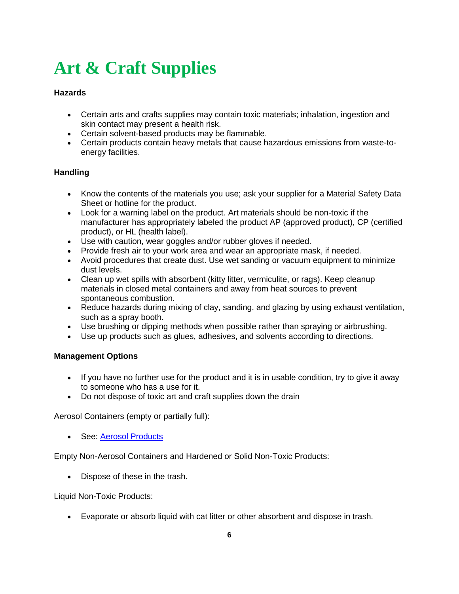# <span id="page-5-0"></span>**Art & Craft Supplies**

### **Hazards**

- Certain arts and crafts supplies may contain toxic materials; inhalation, ingestion and skin contact may present a health risk.
- Certain solvent-based products may be flammable.
- Certain products contain heavy metals that cause hazardous emissions from waste-toenergy facilities.

### **Handling**

- Know the contents of the materials you use; ask your supplier for a Material Safety Data Sheet or hotline for the product.
- Look for a warning label on the product. Art materials should be non-toxic if the manufacturer has appropriately labeled the product AP (approved product), CP (certified product), or HL (health label).
- Use with caution, wear goggles and/or rubber gloves if needed.
- Provide fresh air to your work area and wear an appropriate mask, if needed.
- Avoid procedures that create dust. Use wet sanding or vacuum equipment to minimize dust levels.
- Clean up wet spills with absorbent (kitty litter, vermiculite, or rags). Keep cleanup materials in closed metal containers and away from heat sources to prevent spontaneous combustion.
- Reduce hazards during mixing of clay, sanding, and glazing by using exhaust ventilation, such as a spray booth.
- Use brushing or dipping methods when possible rather than spraying or airbrushing.
- Use up products such as glues, adhesives, and solvents according to directions.

### **Management Options**

- If you have no further use for the product and it is in usable condition, try to give it away to someone who has a use for it.
- Do not dispose of toxic art and craft supplies down the drain

Aerosol Containers (empty or partially full):

See: [Aerosol Products](#page-0-1) 

Empty Non-Aerosol Containers and Hardened or Solid Non-Toxic Products:

• Dispose of these in the trash.

Liquid Non-Toxic Products:

Evaporate or absorb liquid with cat litter or other absorbent and dispose in trash.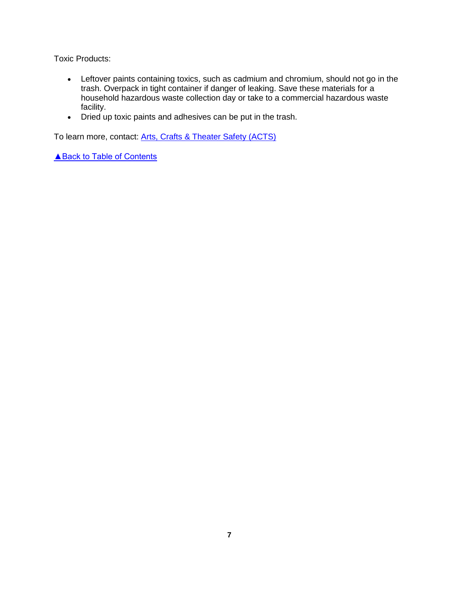Toxic Products:

- Leftover paints containing toxics, such as cadmium and chromium, should not go in the trash. Overpack in tight container if danger of leaking. Save these materials for a household hazardous waste collection day or take to a commercial hazardous waste facility.
- Dried up toxic paints and adhesives can be put in the trash.

To learn more, contact: [Arts, Crafts & Theater Safety \(ACTS\)](http://www.artscraftstheatersafety.org/)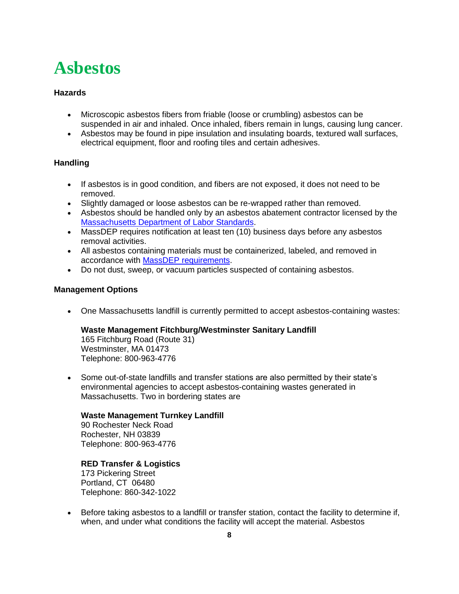### <span id="page-7-0"></span>**Asbestos**

### **Hazards**

- Microscopic asbestos fibers from friable (loose or crumbling) asbestos can be suspended in air and inhaled. Once inhaled, fibers remain in lungs, causing lung cancer.
- Asbestos may be found in pipe insulation and insulating boards, textured wall surfaces, electrical equipment, floor and roofing tiles and certain adhesives.

### **Handling**

- If asbestos is in good condition, and fibers are not exposed, it does not need to be removed.
- Slightly damaged or loose asbestos can be re-wrapped rather than removed.
- Asbestos should be handled only by an asbestos abatement contractor licensed by the [Massachusetts Department of Labor Standards.](https://www.mass.gov/service-details/asbestos-labs-contractors-and-training-providers)
- MassDEP requires notification at least ten (10) business days before any asbestos removal activities.
- All asbestos containing materials must be containerized, labeled, and removed in accordance with [MassDEP requirements.](https://www.mass.gov/guides/massdep-asbestos-construction-demolition-notifications)
- Do not dust, sweep, or vacuum particles suspected of containing asbestos.

### **Management Options**

One Massachusetts landfill is currently permitted to accept asbestos-containing wastes:

### **Waste Management Fitchburg/Westminster Sanitary Landfill**

165 Fitchburg Road (Route 31) Westminster, MA 01473 Telephone: 800-963-4776

• Some out-of-state landfills and transfer stations are also permitted by their state's environmental agencies to accept asbestos-containing wastes generated in Massachusetts. Two in bordering states are

#### **Waste Management Turnkey Landfill**

90 Rochester Neck Road Rochester, NH 03839 Telephone: 800-963-4776

#### **RED Transfer & Logistics**

173 Pickering Street Portland, CT 06480 Telephone: 860-342-1022

 Before taking asbestos to a landfill or transfer station, contact the facility to determine if, when, and under what conditions the facility will accept the material. Asbestos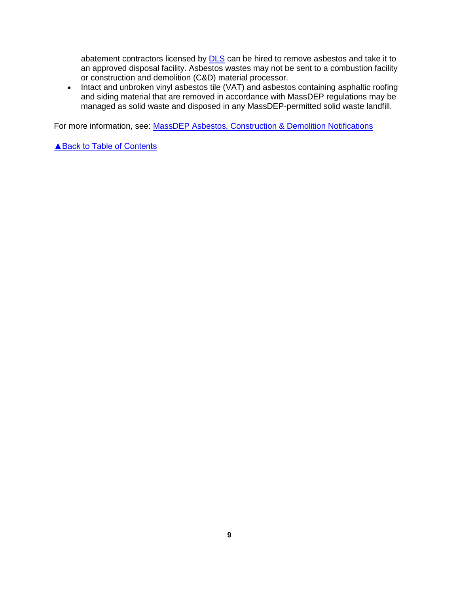abatement contractors licensed by **DLS** can be hired to remove asbestos and take it to an approved disposal facility. Asbestos wastes may not be sent to a combustion facility or construction and demolition (C&D) material processor.

• Intact and unbroken vinyl asbestos tile (VAT) and asbestos containing asphaltic roofing and siding material that are removed in accordance with MassDEP regulations may be managed as solid waste and disposed in any MassDEP-permitted solid waste landfill.

For more information, see: [MassDEP Asbestos, Construction & Demolition Notifications](https://www.mass.gov/guides/massdep-asbestos-construction-demolition-notifications)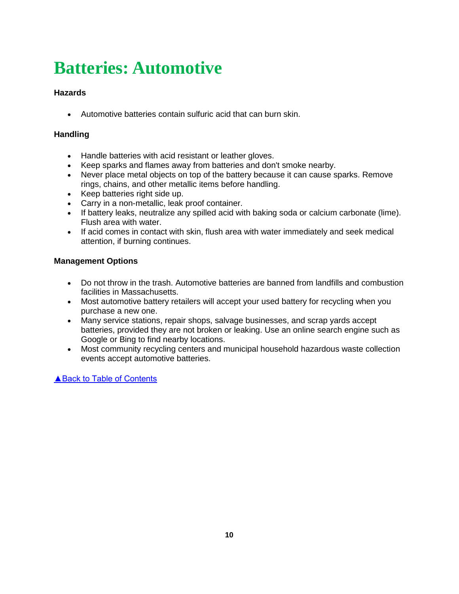# **Batteries: Automotive**

### **Hazards**

Automotive batteries contain sulfuric acid that can burn skin.

### **Handling**

- Handle batteries with acid resistant or leather gloves.
- Keep sparks and flames away from batteries and don't smoke nearby.
- Never place metal objects on top of the battery because it can cause sparks. Remove rings, chains, and other metallic items before handling.
- Keep batteries right side up.
- Carry in a non-metallic, leak proof container.
- If battery leaks, neutralize any spilled acid with baking soda or calcium carbonate (lime). Flush area with water.
- If acid comes in contact with skin, flush area with water immediately and seek medical attention, if burning continues.

### **Management Options**

- Do not throw in the trash. Automotive batteries are banned from landfills and combustion facilities in Massachusetts.
- Most automotive battery retailers will accept your used battery for recycling when you purchase a new one.
- Many service stations, repair shops, salvage businesses, and scrap yards accept batteries, provided they are not broken or leaking. Use an online search engine such as Google or Bing to find nearby locations.
- <span id="page-9-0"></span> Most community recycling centers and municipal household hazardous waste collection events accept automotive batteries.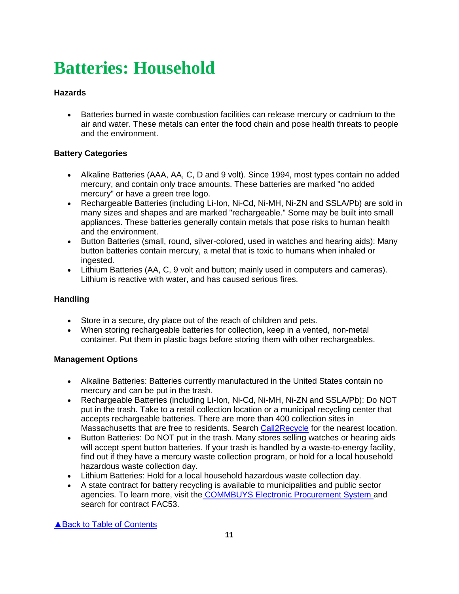# <span id="page-10-0"></span>**Batteries: Household**

### **Hazards**

 Batteries burned in waste combustion facilities can release mercury or cadmium to the air and water. These metals can enter the food chain and pose health threats to people and the environment.

### **Battery Categories**

- Alkaline Batteries (AAA, AA, C, D and 9 volt). Since 1994, most types contain no added mercury, and contain only trace amounts. These batteries are marked "no added mercury" or have a green tree logo.
- Rechargeable Batteries (including Li-Ion, Ni-Cd, Ni-MH, Ni-ZN and SSLA/Pb) are sold in many sizes and shapes and are marked "rechargeable." Some may be built into small appliances. These batteries generally contain metals that pose risks to human health and the environment.
- Button Batteries (small, round, silver-colored, used in watches and hearing aids): Many button batteries contain mercury, a metal that is toxic to humans when inhaled or ingested.
- Lithium Batteries (AA, C, 9 volt and button; mainly used in computers and cameras). Lithium is reactive with water, and has caused serious fires.

### **Handling**

- Store in a secure, dry place out of the reach of children and pets.
- When storing rechargeable batteries for collection, keep in a vented, non-metal container. Put them in plastic bags before storing them with other rechargeables.

### **Management Options**

- Alkaline Batteries: Batteries currently manufactured in the United States contain no mercury and can be put in the trash.
- Rechargeable Batteries (including Li-Ion, Ni-Cd, Ni-MH, Ni-ZN and SSLA/Pb): Do NOT put in the trash. Take to a retail collection location or a municipal recycling center that accepts rechargeable batteries. There are more than 400 collection sites in Massachusetts that are free to residents. Search [Call2Recycle](http://www.call2recycle.org/locator/) for the nearest location.
- Button Batteries: Do NOT put in the trash. Many stores selling watches or hearing aids will accept spent button batteries. If your trash is handled by a waste-to-energy facility, find out if they have a mercury waste collection program, or hold for a local household hazardous waste collection day.
- Lithium Batteries: Hold for a local household hazardous waste collection day.
- A state contract for battery recycling is available to municipalities and public sector agencies. To learn more, visit the [COMMBUYS Electronic Procurement System a](https://www.commbuys.com/bso/)nd search for contract FAC53.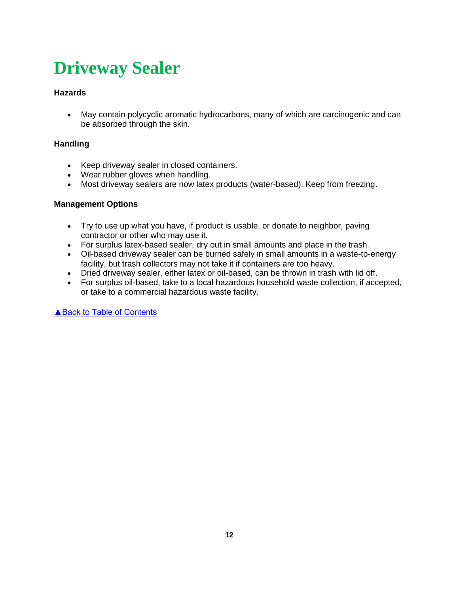# <span id="page-11-0"></span>**Driveway Sealer**

### **Hazards**

 May contain polycyclic aromatic hydrocarbons, many of which are carcinogenic and can be absorbed through the skin.

### **Handling**

- Keep driveway sealer in closed containers.
- Wear rubber gloves when handling.
- Most driveway sealers are now latex products (water-based). Keep from freezing.

### **Management Options**

- Try to use up what you have, if product is usable, or donate to neighbor, paving contractor or other who may use it.
- For surplus latex-based sealer, dry out in small amounts and place in the trash.
- Oil-based driveway sealer can be burned safely in small amounts in a waste-to-energy facility, but trash collectors may not take it if containers are too heavy.
- Dried driveway sealer, either latex or oil-based, can be thrown in trash with lid off.
- For surplus oil-based, take to a local hazardous household waste collection, if accepted, or take to a commercial hazardous waste facility.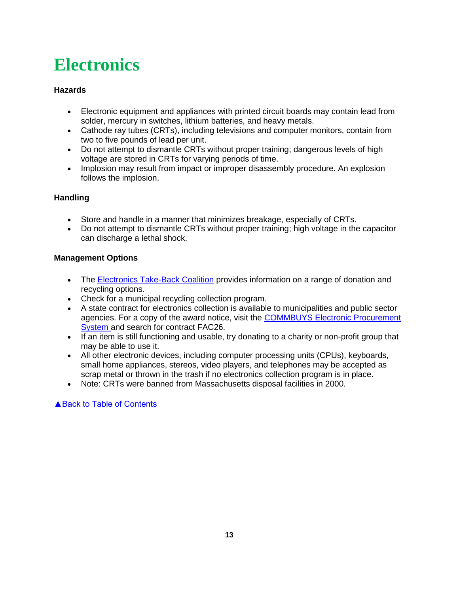# <span id="page-12-0"></span>**Electronics**

### **Hazards**

- Electronic equipment and appliances with printed circuit boards may contain lead from solder, mercury in switches, lithium batteries, and heavy metals.
- Cathode ray tubes (CRTs), including televisions and computer monitors, contain from two to five pounds of lead per unit.
- Do not attempt to dismantle CRTs without proper training; dangerous levels of high voltage are stored in CRTs for varying periods of time.
- Implosion may result from impact or improper disassembly procedure. An explosion follows the implosion.

### **Handling**

- Store and handle in a manner that minimizes breakage, especially of CRTs.
- Do not attempt to dismantle CRTs without proper training; high voltage in the capacitor can discharge a lethal shock.

### **Management Options**

- The [Electronics Take-Back Coalition](http://www.electronicstakeback.com/how-to-recycle-electronics/) provides information on a range of donation and recycling options.
- Check for a municipal recycling collection program.
- A state contract for electronics collection is available to municipalities and public sector agencies. For a copy of the award notice, visit the [COMMBUYS Electronic Procurement](https://www.commbuys.com/bso/)  [System a](https://www.commbuys.com/bso/)nd search for contract FAC26.
- If an item is still functioning and usable, try donating to a charity or non-profit group that may be able to use it.
- All other electronic devices, including computer processing units (CPUs), keyboards, small home appliances, stereos, video players, and telephones may be accepted as scrap metal or thrown in the trash if no electronics collection program is in place.
- Note: CRTs were banned from Massachusetts disposal facilities in 2000.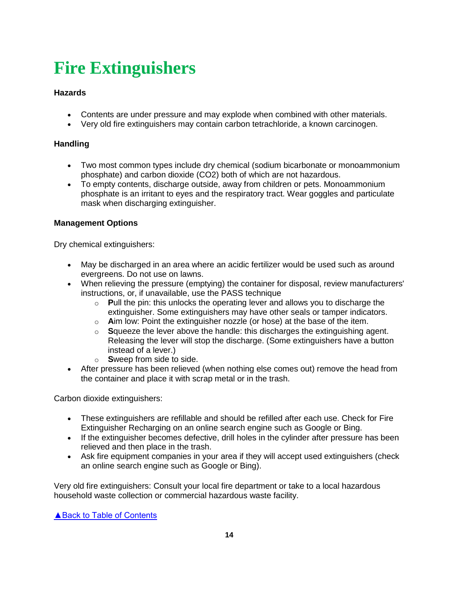# <span id="page-13-0"></span>**Fire Extinguishers**

### **Hazards**

- Contents are under pressure and may explode when combined with other materials.
- Very old fire extinguishers may contain carbon tetrachloride, a known carcinogen.

### **Handling**

- Two most common types include dry chemical (sodium bicarbonate or monoammonium phosphate) and carbon dioxide (CO2) both of which are not hazardous.
- To empty contents, discharge outside, away from children or pets. Monoammonium phosphate is an irritant to eyes and the respiratory tract. Wear goggles and particulate mask when discharging extinguisher.

### **Management Options**

Dry chemical extinguishers:

- May be discharged in an area where an acidic fertilizer would be used such as around evergreens. Do not use on lawns.
- When relieving the pressure (emptying) the container for disposal, review manufacturers' instructions, or, if unavailable, use the PASS technique
	- o **P**ull the pin: this unlocks the operating lever and allows you to discharge the extinguisher. Some extinguishers may have other seals or tamper indicators.
	- o **A**im low: Point the extinguisher nozzle (or hose) at the base of the item.
	- o **S**queeze the lever above the handle: this discharges the extinguishing agent. Releasing the lever will stop the discharge. (Some extinguishers have a button instead of a lever.)
	- o **S**weep from side to side.
- After pressure has been relieved (when nothing else comes out) remove the head from the container and place it with scrap metal or in the trash.

Carbon dioxide extinguishers:

- These extinguishers are refillable and should be refilled after each use. Check for Fire Extinguisher Recharging on an online search engine such as Google or Bing.
- If the extinguisher becomes defective, drill holes in the cylinder after pressure has been relieved and then place in the trash.
- Ask fire equipment companies in your area if they will accept used extinguishers (check an online search engine such as Google or Bing).

Very old fire extinguishers: Consult your local fire department or take to a local hazardous household waste collection or commercial hazardous waste facility.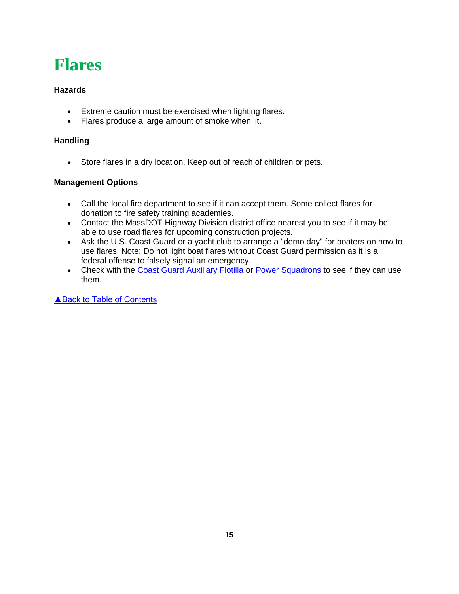### <span id="page-14-0"></span>**Flares**

### **Hazards**

- Extreme caution must be exercised when lighting flares.
- Flares produce a large amount of smoke when lit.

### **Handling**

Store flares in a dry location. Keep out of reach of children or pets.

### **Management Options**

- Call the local fire department to see if it can accept them. Some collect flares for donation to fire safety training academies.
- Contact the MassDOT Highway Division district office nearest you to see if it may be able to use road flares for upcoming construction projects.
- Ask the U.S. Coast Guard or a yacht club to arrange a "demo day" for boaters on how to use flares. Note: Do not light boat flares without Coast Guard permission as it is a federal offense to falsely signal an emergency.
- Check with the [Coast Guard Auxiliary Flotilla](http://www.cgaux.org/) or [Power Squadrons](http://www.usps.org/) to see if they can use them.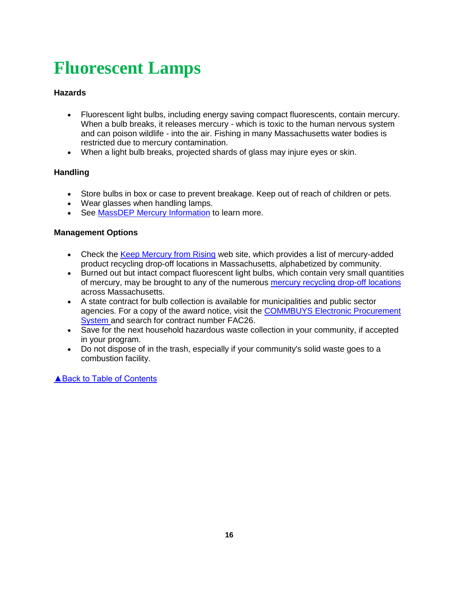# <span id="page-15-0"></span>**Fluorescent Lamps**

### **Hazards**

- Fluorescent light bulbs, including energy saving compact fluorescents, contain mercury. When a bulb breaks, it releases mercury - which is toxic to the human nervous system and can poison wildlife - into the air. Fishing in many Massachusetts water bodies is restricted due to mercury contamination.
- When a light bulb breaks, projected shards of glass may injure eyes or skin.

### **Handling**

- Store bulbs in box or case to prevent breakage. Keep out of reach of children or pets.
- Wear glasses when handling lamps.
- See [MassDEP Mercury Information](https://www.mass.gov/guides/massdep-mercury-information) to learn more.

### **Management Options**

- Check the [Keep Mercury from Rising](http://keepmercuryfromrising.org/where/) web site, which provides a list of mercury-added product recycling drop-off locations in Massachusetts, alphabetized by community.
- Burned out but intact compact fluorescent light bulbs, which contain very small quantities of mercury, may be brought to any of the numerous [mercury recycling drop-off](http://maps.env.state.ma.us/dep/arcgis/js/templates/SafeMercuryDisposal/) locations across Massachusetts.
- A state contract for bulb collection is available for municipalities and public sector agencies. For a copy of the award notice, visit the [COMMBUYS Electronic Procurement](https://www.commbuys.com/bso/)  [System a](https://www.commbuys.com/bso/)nd search for contract number FAC26.
- Save for the next household hazardous waste collection in your community, if accepted in your program.
- Do not dispose of in the trash, especially if your community's solid waste goes to a combustion facility.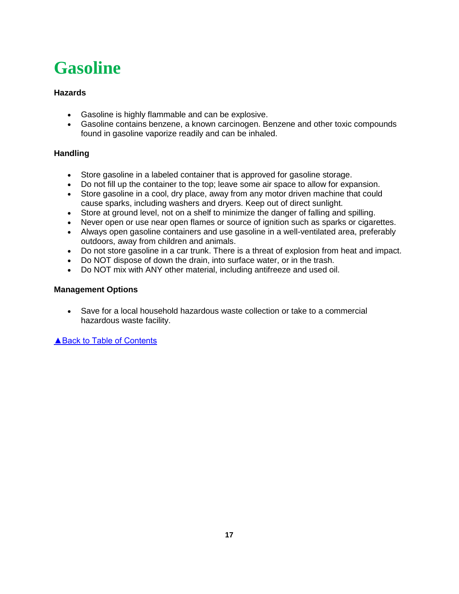# <span id="page-16-0"></span>**Gasoline**

### **Hazards**

- Gasoline is highly flammable and can be explosive.
- Gasoline contains benzene, a known carcinogen. Benzene and other toxic compounds found in gasoline vaporize readily and can be inhaled.

### **Handling**

- Store gasoline in a labeled container that is approved for gasoline storage.
- Do not fill up the container to the top; leave some air space to allow for expansion.
- Store gasoline in a cool, dry place, away from any motor driven machine that could cause sparks, including washers and dryers. Keep out of direct sunlight.
- Store at ground level, not on a shelf to minimize the danger of falling and spilling.
- Never open or use near open flames or source of ignition such as sparks or cigarettes.
- Always open gasoline containers and use gasoline in a well-ventilated area, preferably outdoors, away from children and animals.
- Do not store gasoline in a car trunk. There is a threat of explosion from heat and impact.
- Do NOT dispose of down the drain, into surface water, or in the trash.
- Do NOT mix with ANY other material, including antifreeze and used oil.

### **Management Options**

 Save for a local household hazardous waste collection or take to a commercial hazardous waste facility.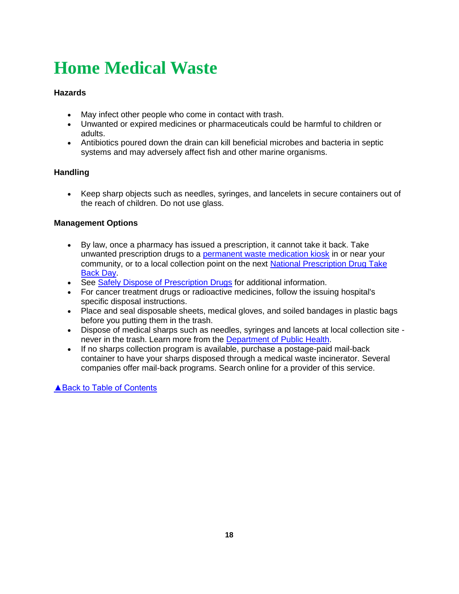# <span id="page-17-0"></span>**Home Medical Waste**

### **Hazards**

- May infect other people who come in contact with trash.
- Unwanted or expired medicines or pharmaceuticals could be harmful to children or adults.
- Antibiotics poured down the drain can kill beneficial microbes and bacteria in septic systems and may adversely affect fish and other marine organisms.

### **Handling**

 Keep sharp objects such as needles, syringes, and lancelets in secure containers out of the reach of children. Do not use glass.

### **Management Options**

- By law, once a pharmacy has issued a prescription, it cannot take it back. Take unwanted prescription drugs to a [permanent waste medication kiosk](https://www.mass.gov/service-details/find-a-waste-medication-kiosk) in or near your community, or to a local collection point on the next National Prescription Drug Take [Back Day.](https://takebackday.dea.gov/)
- See [Safely Dispose of Prescription Drugs](https://www.mass.gov/safely-dispose-of-prescription-drugs) for additional information.
- For cancer treatment drugs or radioactive medicines, follow the issuing hospital's specific disposal instructions.
- Place and seal disposable sheets, medical gloves, and soiled bandages in plastic bags before you putting them in the trash.
- Dispose of medical sharps such as needles, syringes and lancets at local collection site never in the trash. Learn more from the [Department of Public Health.](https://www.mass.gov/lists/medical-waste-community-sanitation)
- If no sharps collection program is available, purchase a postage-paid mail-back container to have your sharps disposed through a medical waste incinerator. Several companies offer mail-back programs. Search online for a provider of this service.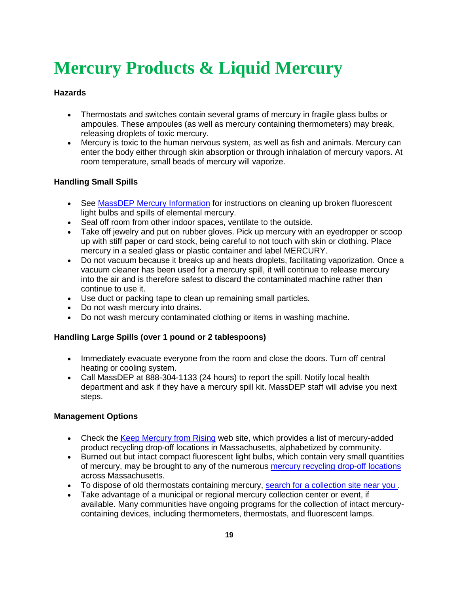# <span id="page-18-0"></span>**Mercury Products & Liquid Mercury**

### **Hazards**

- Thermostats and switches contain several grams of mercury in fragile glass bulbs or ampoules. These ampoules (as well as mercury containing thermometers) may break, releasing droplets of toxic mercury.
- Mercury is toxic to the human nervous system, as well as fish and animals. Mercury can enter the body either through skin absorption or through inhalation of mercury vapors. At room temperature, small beads of mercury will vaporize.

### **Handling Small Spills**

- See [MassDEP Mercury Information](https://www.mass.gov/guides/massdep-mercury-information) for instructions on cleaning up broken fluorescent light bulbs and spills of elemental mercury[.](https://www.mass.gov/eea/agencies/massdep/toxics/sources/cleaning-up-elemental-mercury-spills.html)
- Seal off room from other indoor spaces, ventilate to the outside.
- Take off jewelry and put on rubber gloves. Pick up mercury with an eyedropper or scoop up with stiff paper or card stock, being careful to not touch with skin or clothing. Place mercury in a sealed glass or plastic container and label MERCURY.
- Do not vacuum because it breaks up and heats droplets, facilitating vaporization. Once a vacuum cleaner has been used for a mercury spill, it will continue to release mercury into the air and is therefore safest to discard the contaminated machine rather than continue to use it.
- Use duct or packing tape to clean up remaining small particles.
- Do not wash mercury into drains.
- Do not wash mercury contaminated clothing or items in washing machine.

### **Handling Large Spills (over 1 pound or 2 tablespoons)**

- Immediately evacuate everyone from the room and close the doors. Turn off central heating or cooling system.
- Call MassDEP at 888-304-1133 (24 hours) to report the spill. Notify local health department and ask if they have a mercury spill kit. MassDEP staff will advise you next steps.

#### **Management Options**

- Check the [Keep Mercury from Rising](http://keepmercuryfromrising.org/where/) web site, which provides a list of mercury-added product recycling drop-off locations in Massachusetts, alphabetized by community.
- Burned out but intact compact fluorescent light bulbs, which contain very small quantities of mercury, may be brought to any of the numerous [mercury recycling drop-off](http://maps.env.state.ma.us/dep/arcgis/js/templates/SafeMercuryDisposal/) locations across Massachusetts.
- To dispose of old thermostats containing mercury, search for a collection site near you.
- Take advantage of a municipal or regional mercury collection center or event, if available. Many communities have ongoing programs for the collection of intact mercurycontaining devices, including thermometers, thermostats, and fluorescent lamps.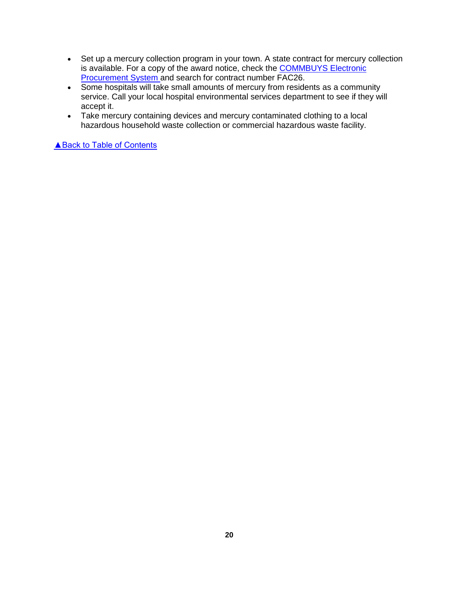- Set up a mercury collection program in your town. A state contract for mercury collection is available. For a copy of the award notice, check the [COMMBUYS Electronic](https://www.commbuys.com/bso/)  [Procurement System a](https://www.commbuys.com/bso/)nd search for contract number FAC26.
- Some hospitals will take small amounts of mercury from residents as a community service. Call your local hospital environmental services department to see if they will accept it.
- Take mercury containing devices and mercury contaminated clothing to a local hazardous household waste collection or commercial hazardous waste facility.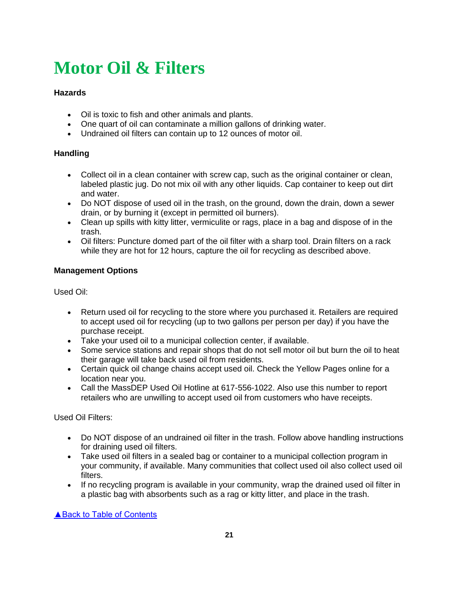# <span id="page-20-0"></span>**Motor Oil & Filters**

### **Hazards**

- Oil is toxic to fish and other animals and plants.
- One quart of oil can contaminate a million gallons of drinking water.
- Undrained oil filters can contain up to 12 ounces of motor oil.

### **Handling**

- Collect oil in a clean container with screw cap, such as the original container or clean, labeled plastic jug. Do not mix oil with any other liquids. Cap container to keep out dirt and water.
- Do NOT dispose of used oil in the trash, on the ground, down the drain, down a sewer drain, or by burning it (except in permitted oil burners).
- Clean up spills with kitty litter, vermiculite or rags, place in a bag and dispose of in the trash.
- Oil filters: Puncture domed part of the oil filter with a sharp tool. Drain filters on a rack while they are hot for 12 hours, capture the oil for recycling as described above.

### **Management Options**

Used Oil:

- Return used oil for recycling to the store where you purchased it. Retailers are required to accept used oil for recycling (up to two gallons per person per day) if you have the purchase receipt.
- Take your used oil to a municipal collection center, if available.
- Some service stations and repair shops that do not sell motor oil but burn the oil to heat their garage will take back used oil from residents.
- Certain quick oil change chains accept used oil. Check the Yellow Pages online for a location near you.
- Call the MassDEP Used Oil Hotline at 617-556-1022. Also use this number to report retailers who are unwilling to accept used oil from customers who have receipts.

Used Oil Filters:

- Do NOT dispose of an undrained oil filter in the trash. Follow above handling instructions for draining used oil filters.
- Take used oil filters in a sealed bag or container to a municipal collection program in your community, if available. Many communities that collect used oil also collect used oil filters.
- If no recycling program is available in your community, wrap the drained used oil filter in a plastic bag with absorbents such as a rag or kitty litter, and place in the trash.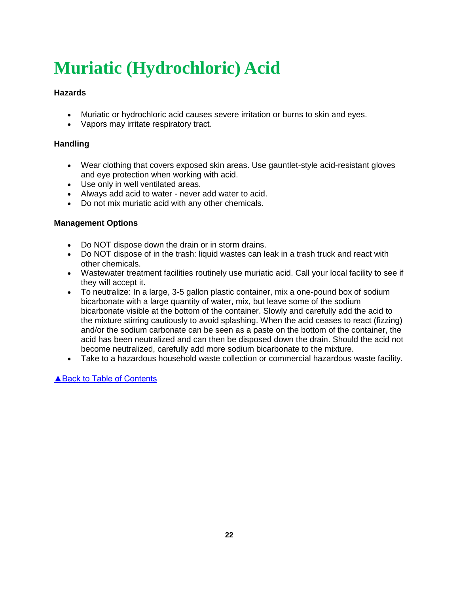# <span id="page-21-0"></span>**Muriatic (Hydrochloric) Acid**

### **Hazards**

- Muriatic or hydrochloric acid causes severe irritation or burns to skin and eyes.
- Vapors may irritate respiratory tract.

### **Handling**

- Wear clothing that covers exposed skin areas. Use gauntlet-style acid-resistant gloves and eye protection when working with acid.
- Use only in well ventilated areas.
- Always add acid to water never add water to acid.
- Do not mix muriatic acid with any other chemicals.

### **Management Options**

- Do NOT dispose down the drain or in storm drains.
- Do NOT dispose of in the trash: liquid wastes can leak in a trash truck and react with other chemicals.
- Wastewater treatment facilities routinely use muriatic acid. Call your local facility to see if they will accept it.
- To neutralize: In a large, 3-5 gallon plastic container, mix a one-pound box of sodium bicarbonate with a large quantity of water, mix, but leave some of the sodium bicarbonate visible at the bottom of the container. Slowly and carefully add the acid to the mixture stirring cautiously to avoid splashing. When the acid ceases to react (fizzing) and/or the sodium carbonate can be seen as a paste on the bottom of the container, the acid has been neutralized and can then be disposed down the drain. Should the acid not become neutralized, carefully add more sodium bicarbonate to the mixture.
- Take to a hazardous household waste collection or commercial hazardous waste facility.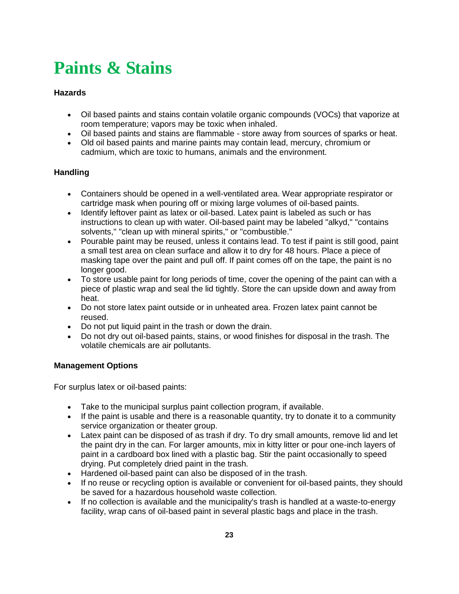# <span id="page-22-0"></span>**Paints & Stains**

### **Hazards**

- Oil based paints and stains contain volatile organic compounds (VOCs) that vaporize at room temperature; vapors may be toxic when inhaled.
- Oil based paints and stains are flammable store away from sources of sparks or heat.
- Old oil based paints and marine paints may contain lead, mercury, chromium or cadmium, which are toxic to humans, animals and the environment.

### **Handling**

- Containers should be opened in a well-ventilated area. Wear appropriate respirator or cartridge mask when pouring off or mixing large volumes of oil-based paints.
- Identify leftover paint as latex or oil-based. Latex paint is labeled as such or has instructions to clean up with water. Oil-based paint may be labeled "alkyd," "contains solvents," "clean up with mineral spirits," or "combustible."
- Pourable paint may be reused, unless it contains lead. To test if paint is still good, paint a small test area on clean surface and allow it to dry for 48 hours. Place a piece of masking tape over the paint and pull off. If paint comes off on the tape, the paint is no longer good.
- To store usable paint for long periods of time, cover the opening of the paint can with a piece of plastic wrap and seal the lid tightly. Store the can upside down and away from heat.
- Do not store latex paint outside or in unheated area. Frozen latex paint cannot be reused.
- Do not put liquid paint in the trash or down the drain.
- Do not dry out oil-based paints, stains, or wood finishes for disposal in the trash. The volatile chemicals are air pollutants.

#### **Management Options**

For surplus latex or oil-based paints:

- Take to the municipal surplus paint collection program, if available.
- If the paint is usable and there is a reasonable quantity, try to donate it to a community service organization or theater group.
- Latex paint can be disposed of as trash if dry. To dry small amounts, remove lid and let the paint dry in the can. For larger amounts, mix in kitty litter or pour one-inch layers of paint in a cardboard box lined with a plastic bag. Stir the paint occasionally to speed drying. Put completely dried paint in the trash.
- Hardened oil-based paint can also be disposed of in the trash.
- If no reuse or recycling option is available or convenient for oil-based paints, they should be saved for a hazardous household waste collection.
- If no collection is available and the municipality's trash is handled at a waste-to-energy facility, wrap cans of oil-based paint in several plastic bags and place in the trash.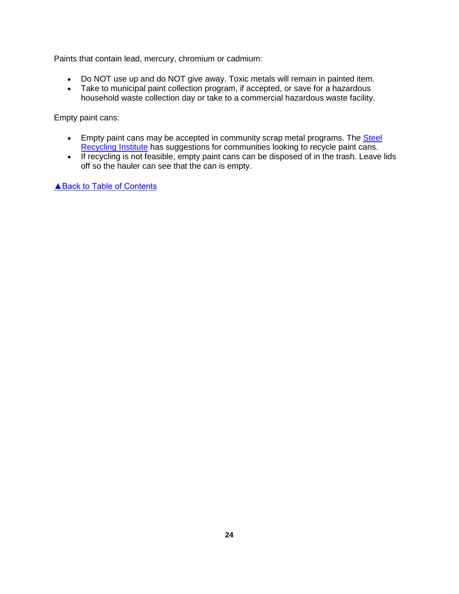Paints that contain lead, mercury, chromium or cadmium:

- Do NOT use up and do NOT give away. Toxic metals will remain in painted item.
- Take to municipal paint collection program, if accepted, or save for a hazardous household waste collection day or take to a commercial hazardous waste facility.

Empty paint cans:

- **Empty paint cans may be accepted in community scrap metal programs. The Steel** [Recycling Institute](http://www.steelsustainability.org/~/media/recycling-resources/commercial-recycling-dealers-paint-aerosols.pdf) has suggestions for communities looking to recycle paint cans.
- If recycling is not feasible, empty paint cans can be disposed of in the trash. Leave lids off so the hauler can see that the can is empty.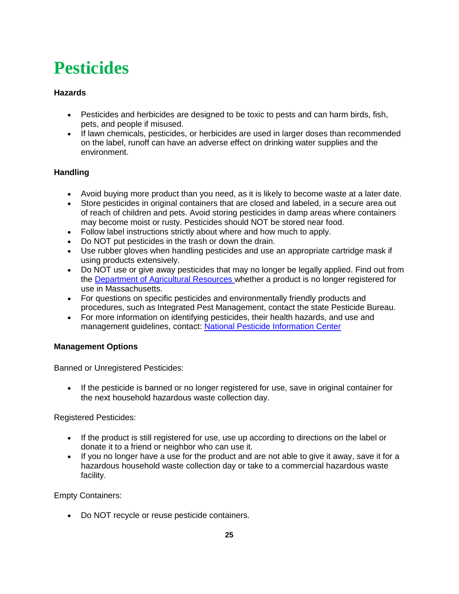# <span id="page-24-0"></span>**Pesticides**

### **Hazards**

- Pesticides and herbicides are designed to be toxic to pests and can harm birds, fish, pets, and people if misused.
- If lawn chemicals, pesticides, or herbicides are used in larger doses than recommended on the label, runoff can have an adverse effect on drinking water supplies and the environment.

### **Handling**

- Avoid buying more product than you need, as it is likely to become waste at a later date.
- Store pesticides in original containers that are closed and labeled, in a secure area out of reach of children and pets. Avoid storing pesticides in damp areas where containers may become moist or rusty. Pesticides should NOT be stored near food.
- Follow label instructions strictly about where and how much to apply.
- Do NOT put pesticides in the trash or down the drain.
- Use rubber gloves when handling pesticides and use an appropriate cartridge mask if using products extensively.
- Do NOT use or give away pesticides that may no longer be legally applied. Find out from the [Department of Agricultural Resources](https://www.mass.gov/eea/agencies/agr/pesticides/) whether a product is no longer registered for use in Massachusetts.
- For questions on specific pesticides and environmentally friendly products and procedures, such as Integrated Pest Management, contact the state Pesticide Bureau.
- For more information on identifying pesticides, their health hazards, and use and management guidelines, contact: [National Pesticide Information Center](http://npic.orst.edu/)

### **Management Options**

Banned or Unregistered Pesticides:

 If the pesticide is banned or no longer registered for use, save in original container for the next household hazardous waste collection day.

Registered Pesticides:

- If the product is still registered for use, use up according to directions on the label or donate it to a friend or neighbor who can use it.
- If you no longer have a use for the product and are not able to give it away, save it for a hazardous household waste collection day or take to a commercial hazardous waste facility.

Empty Containers:

Do NOT recycle or reuse pesticide containers.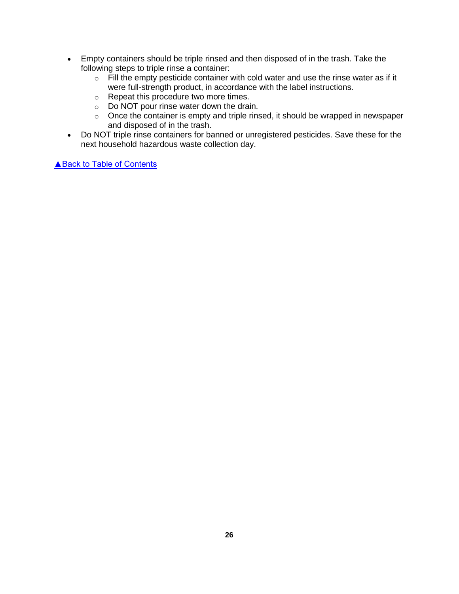- Empty containers should be triple rinsed and then disposed of in the trash. Take the following steps to triple rinse a container:
	- o Fill the empty pesticide container with cold water and use the rinse water as if it were full-strength product, in accordance with the label instructions.
	- o Repeat this procedure two more times.
	- o Do NOT pour rinse water down the drain.
	- $\circ$  Once the container is empty and triple rinsed, it should be wrapped in newspaper and disposed of in the trash.
- Do NOT triple rinse containers for banned or unregistered pesticides. Save these for the next household hazardous waste collection day.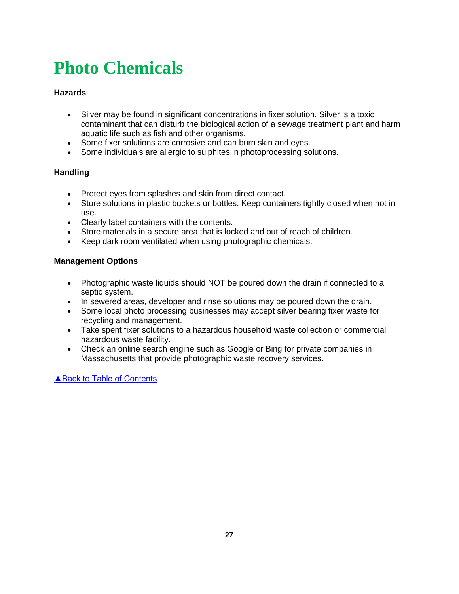# <span id="page-26-0"></span>**Photo Chemicals**

### **Hazards**

- Silver may be found in significant concentrations in fixer solution. Silver is a toxic contaminant that can disturb the biological action of a sewage treatment plant and harm aquatic life such as fish and other organisms.
- Some fixer solutions are corrosive and can burn skin and eyes.
- Some individuals are allergic to sulphites in photoprocessing solutions.

### **Handling**

- Protect eyes from splashes and skin from direct contact.
- Store solutions in plastic buckets or bottles. Keep containers tightly closed when not in use.
- Clearly label containers with the contents.
- Store materials in a secure area that is locked and out of reach of children.
- Keep dark room ventilated when using photographic chemicals.

#### **Management Options**

- Photographic waste liquids should NOT be poured down the drain if connected to a septic system.
- In sewered areas, developer and rinse solutions may be poured down the drain.
- Some local photo processing businesses may accept silver bearing fixer waste for recycling and management.
- Take spent fixer solutions to a hazardous household waste collection or commercial hazardous waste facility.
- Check an online search engine such as Google or Bing for private companies in Massachusetts that provide photographic waste recovery services.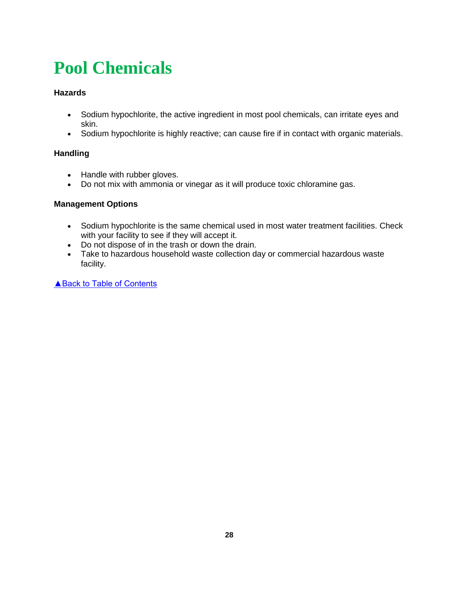# <span id="page-27-0"></span>**Pool Chemicals**

### **Hazards**

- Sodium hypochlorite, the active ingredient in most pool chemicals, can irritate eyes and skin.
- Sodium hypochlorite is highly reactive; can cause fire if in contact with organic materials.

### **Handling**

- Handle with rubber gloves.
- Do not mix with ammonia or vinegar as it will produce toxic chloramine gas.

### **Management Options**

- Sodium hypochlorite is the same chemical used in most water treatment facilities. Check with your facility to see if they will accept it.
- Do not dispose of in the trash or down the drain.
- Take to hazardous household waste collection day or commercial hazardous waste facility.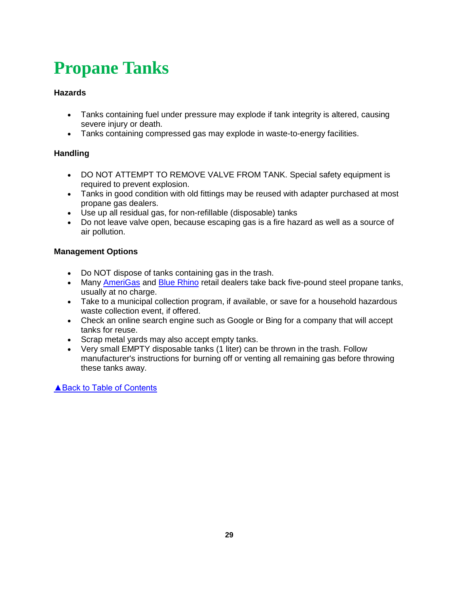# <span id="page-28-0"></span>**Propane Tanks**

### **Hazards**

- Tanks containing fuel under pressure may explode if tank integrity is altered, causing severe injury or death.
- Tanks containing compressed gas may explode in waste-to-energy facilities.

### **Handling**

- DO NOT ATTEMPT TO REMOVE VALVE FROM TANK. Special safety equipment is required to prevent explosion.
- Tanks in good condition with old fittings may be reused with adapter purchased at most propane gas dealers.
- Use up all residual gas, for non-refillable (disposable) tanks
- Do not leave valve open, because escaping gas is a fire hazard as well as a source of air pollution.

### **Management Options**

- Do NOT dispose of tanks containing gas in the trash.
- Many [AmeriGas](https://www.amerigas.com/propane-locations) and [Blue Rhino](https://www.bluerhino.com/propane-finder) retail dealers take back five-pound steel propane tanks, usually at no charge.
- Take to a municipal collection program, if available, or save for a household hazardous waste collection event, if offered.
- Check an online search engine such as Google or Bing for a company that will accept tanks for reuse.
- Scrap metal yards may also accept empty tanks.
- Very small EMPTY disposable tanks (1 liter) can be thrown in the trash. Follow manufacturer's instructions for burning off or venting all remaining gas before throwing these tanks away.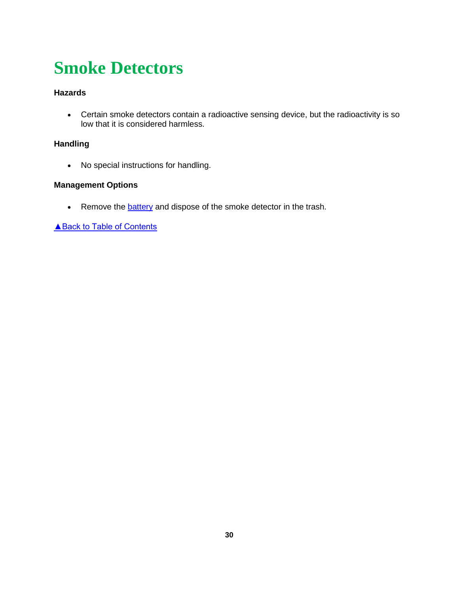# <span id="page-29-0"></span>**Smoke Detectors**

### **Hazards**

 Certain smoke detectors contain a radioactive sensing device, but the radioactivity is so low that it is considered harmless.

### **Handling**

• No special instructions for handling.

### **Management Options**

• Remove the **battery** and dispose of the smoke detector in the trash.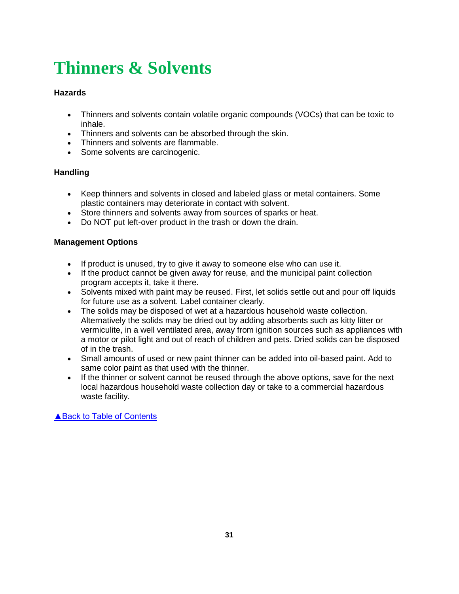# <span id="page-30-0"></span>**Thinners & Solvents**

### **Hazards**

- Thinners and solvents contain volatile organic compounds (VOCs) that can be toxic to inhale.
- Thinners and solvents can be absorbed through the skin.
- Thinners and solvents are flammable.
- Some solvents are carcinogenic.

### **Handling**

- Keep thinners and solvents in closed and labeled glass or metal containers. Some plastic containers may deteriorate in contact with solvent.
- Store thinners and solvents away from sources of sparks or heat.
- Do NOT put left-over product in the trash or down the drain.

### **Management Options**

- If product is unused, try to give it away to someone else who can use it.
- If the product cannot be given away for reuse, and the municipal paint collection program accepts it, take it there.
- Solvents mixed with paint may be reused. First, let solids settle out and pour off liquids for future use as a solvent. Label container clearly.
- The solids may be disposed of wet at a hazardous household waste collection. Alternatively the solids may be dried out by adding absorbents such as kitty litter or vermiculite, in a well ventilated area, away from ignition sources such as appliances with a motor or pilot light and out of reach of children and pets. Dried solids can be disposed of in the trash.
- Small amounts of used or new paint thinner can be added into oil-based paint. Add to same color paint as that used with the thinner.
- If the thinner or solvent cannot be reused through the above options, save for the next local hazardous household waste collection day or take to a commercial hazardous waste facility.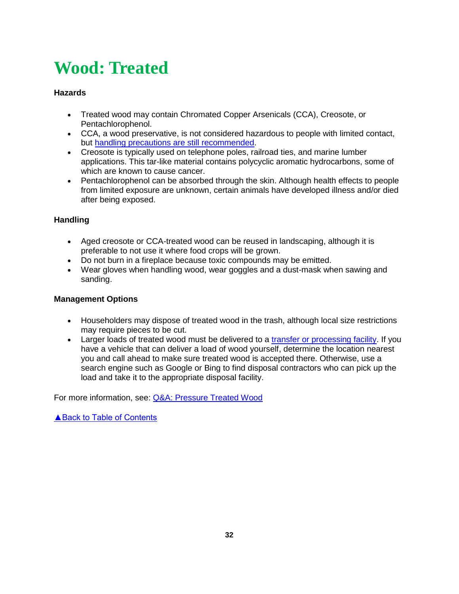# <span id="page-31-0"></span>**Wood: Treated**

### **Hazards**

- Treated wood may contain Chromated Copper Arsenicals (CCA), Creosote, or Pentachlorophenol.
- CCA, a wood preservative, is not considered hazardous to people with limited contact, but [handling precautions are still recommended.](https://www.cpsc.gov/s3fs-public/270_0.pdf)
- Creosote is typically used on telephone poles, railroad ties, and marine lumber applications. This tar-like material contains polycyclic aromatic hydrocarbons, some of which are known to cause cancer.
- Pentachlorophenol can be absorbed through the skin. Although health effects to people from limited exposure are unknown, certain animals have developed illness and/or died after being exposed.

### **Handling**

- Aged creosote or CCA-treated wood can be reused in landscaping, although it is preferable to not use it where food crops will be grown.
- Do not burn in a fireplace because toxic compounds may be emitted.
- Wear gloves when handling wood, wear goggles and a dust-mask when sawing and sanding.

### **Management Options**

- Householders may dispose of treated wood in the trash, although local size restrictions may require pieces to be cut.
- Larger loads of treated wood must be delivered to a [transfer or processing facility.](https://www.mass.gov/media/1309941) If you have a vehicle that can deliver a load of wood yourself, determine the location nearest you and call ahead to make sure treated wood is accepted there. Otherwise, use a search engine such as Google or Bing to find disposal contractors who can pick up the load and take it to the appropriate disposal facility.

For more information, see: [Q&A: Pressure Treated Wood](https://www.mass.gov/media/1797816)